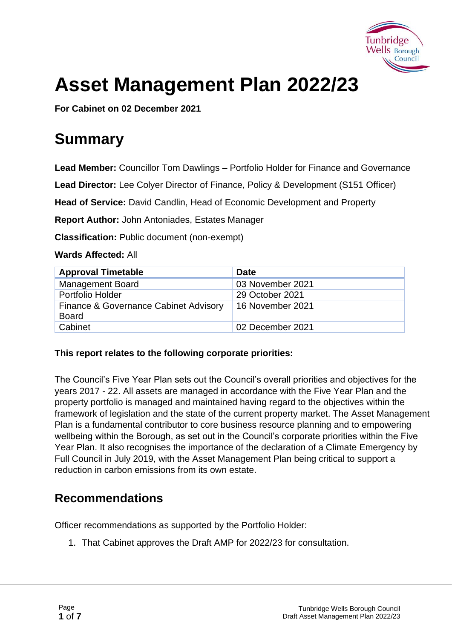

# **Asset Management Plan 2022/23**

**For Cabinet on 02 December 2021**

## **Summary**

**Lead Member:** Councillor Tom Dawlings – Portfolio Holder for Finance and Governance

**Lead Director:** Lee Colyer Director of Finance, Policy & Development (S151 Officer)

**Head of Service:** David Candlin, Head of Economic Development and Property

**Report Author:** John Antoniades, Estates Manager

**Classification:** Public document (non-exempt)

#### **Wards Affected:** All

| <b>Approval Timetable</b>                             | <b>Date</b>      |
|-------------------------------------------------------|------------------|
| <b>Management Board</b>                               | 03 November 2021 |
| Portfolio Holder                                      | 29 October 2021  |
| Finance & Governance Cabinet Advisory<br><b>Board</b> | 16 November 2021 |
| Cabinet                                               | 02 December 2021 |

#### **This report relates to the following corporate priorities:**

The Council's Five Year Plan sets out the Council's overall priorities and objectives for the years 2017 - 22. All assets are managed in accordance with the Five Year Plan and the property portfolio is managed and maintained having regard to the objectives within the framework of legislation and the state of the current property market. The Asset Management Plan is a fundamental contributor to core business resource planning and to empowering wellbeing within the Borough, as set out in the Council's corporate priorities within the Five Year Plan. It also recognises the importance of the declaration of a Climate Emergency by Full Council in July 2019, with the Asset Management Plan being critical to support a reduction in carbon emissions from its own estate.

#### **Recommendations**

Officer recommendations as supported by the Portfolio Holder:

1. That Cabinet approves the Draft AMP for 2022/23 for consultation.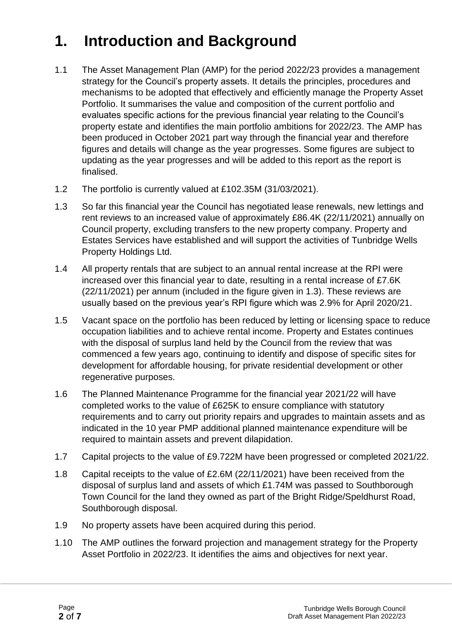## **1. Introduction and Background**

- 1.1 The Asset Management Plan (AMP) for the period 2022/23 provides a management strategy for the Council's property assets. It details the principles, procedures and mechanisms to be adopted that effectively and efficiently manage the Property Asset Portfolio. It summarises the value and composition of the current portfolio and evaluates specific actions for the previous financial year relating to the Council's property estate and identifies the main portfolio ambitions for 2022/23. The AMP has been produced in October 2021 part way through the financial year and therefore figures and details will change as the year progresses. Some figures are subject to updating as the year progresses and will be added to this report as the report is finalised.
- 1.2 The portfolio is currently valued at £102.35M (31/03/2021).
- 1.3 So far this financial year the Council has negotiated lease renewals, new lettings and rent reviews to an increased value of approximately £86.4K (22/11/2021) annually on Council property, excluding transfers to the new property company. Property and Estates Services have established and will support the activities of Tunbridge Wells Property Holdings Ltd.
- 1.4 All property rentals that are subject to an annual rental increase at the RPI were increased over this financial year to date, resulting in a rental increase of £7.6K (22/11/2021) per annum (included in the figure given in 1.3). These reviews are usually based on the previous year's RPI figure which was 2.9% for April 2020/21.
- 1.5 Vacant space on the portfolio has been reduced by letting or licensing space to reduce occupation liabilities and to achieve rental income. Property and Estates continues with the disposal of surplus land held by the Council from the review that was commenced a few years ago, continuing to identify and dispose of specific sites for development for affordable housing, for private residential development or other regenerative purposes.
- 1.6 The Planned Maintenance Programme for the financial year 2021/22 will have completed works to the value of £625K to ensure compliance with statutory requirements and to carry out priority repairs and upgrades to maintain assets and as indicated in the 10 year PMP additional planned maintenance expenditure will be required to maintain assets and prevent dilapidation.
- 1.7 Capital projects to the value of £9.722M have been progressed or completed 2021/22.
- 1.8 Capital receipts to the value of £2.6M (22/11/2021) have been received from the disposal of surplus land and assets of which £1.74M was passed to Southborough Town Council for the land they owned as part of the Bright Ridge/Speldhurst Road, Southborough disposal.
- 1.9 No property assets have been acquired during this period.
- 1.10 The AMP outlines the forward projection and management strategy for the Property Asset Portfolio in 2022/23. It identifies the aims and objectives for next year.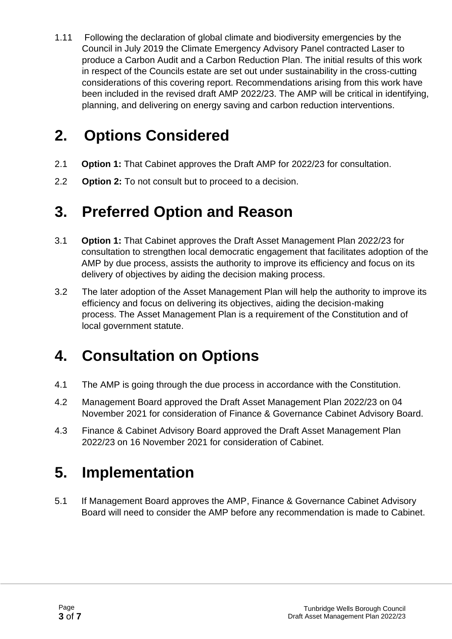1.11 Following the declaration of global climate and biodiversity emergencies by the Council in July 2019 the Climate Emergency Advisory Panel contracted Laser to produce a Carbon Audit and a Carbon Reduction Plan. The initial results of this work in respect of the Councils estate are set out under sustainability in the cross-cutting considerations of this covering report. Recommendations arising from this work have been included in the revised draft AMP 2022/23. The AMP will be critical in identifying, planning, and delivering on energy saving and carbon reduction interventions.

### **2. Options Considered**

- 2.1 **Option 1:** That Cabinet approves the Draft AMP for 2022/23 for consultation.
- 2.2 **Option 2:** To not consult but to proceed to a decision.

### **3. Preferred Option and Reason**

- 3.1 **Option 1:** That Cabinet approves the Draft Asset Management Plan 2022/23 for consultation to strengthen local democratic engagement that facilitates adoption of the AMP by due process, assists the authority to improve its efficiency and focus on its delivery of objectives by aiding the decision making process.
- 3.2 The later adoption of the Asset Management Plan will help the authority to improve its efficiency and focus on delivering its objectives, aiding the decision-making process. The Asset Management Plan is a requirement of the Constitution and of local government statute.

## **4. Consultation on Options**

- 4.1 The AMP is going through the due process in accordance with the Constitution.
- 4.2 Management Board approved the Draft Asset Management Plan 2022/23 on 04 November 2021 for consideration of Finance & Governance Cabinet Advisory Board.
- 4.3 Finance & Cabinet Advisory Board approved the Draft Asset Management Plan 2022/23 on 16 November 2021 for consideration of Cabinet.

### **5. Implementation**

5.1 If Management Board approves the AMP, Finance & Governance Cabinet Advisory Board will need to consider the AMP before any recommendation is made to Cabinet.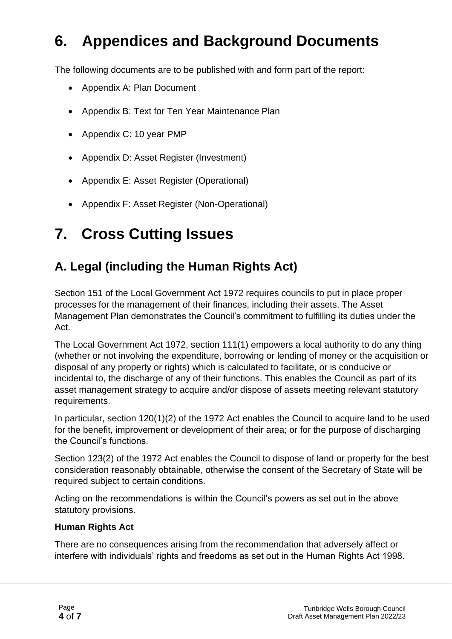## **6. Appendices and Background Documents**

The following documents are to be published with and form part of the report:

- Appendix A: Plan Document
- Appendix B: Text for Ten Year Maintenance Plan
- Appendix C: 10 year PMP
- Appendix D: Asset Register (Investment)
- Appendix E: Asset Register (Operational)
- Appendix F: Asset Register (Non-Operational)

## **7. Cross Cutting Issues**

#### **A. Legal (including the Human Rights Act)**

Section 151 of the Local Government Act 1972 requires councils to put in place proper processes for the management of their finances, including their assets. The Asset Management Plan demonstrates the Council's commitment to fulfilling its duties under the Act.

The Local Government Act 1972, section 111(1) empowers a local authority to do any thing (whether or not involving the expenditure, borrowing or lending of money or the acquisition or disposal of any property or rights) which is calculated to facilitate, or is conducive or incidental to, the discharge of any of their functions. This enables the Council as part of its asset management strategy to acquire and/or dispose of assets meeting relevant statutory requirements.

In particular, section 120(1)(2) of the 1972 Act enables the Council to acquire land to be used for the benefit, improvement or development of their area; or for the purpose of discharging the Council's functions.

Section 123(2) of the 1972 Act enables the Council to dispose of land or property for the best consideration reasonably obtainable, otherwise the consent of the Secretary of State will be required subject to certain conditions.

Acting on the recommendations is within the Council's powers as set out in the above statutory provisions.

#### **Human Rights Act**

There are no consequences arising from the recommendation that adversely affect or interfere with individuals' rights and freedoms as set out in the Human Rights Act 1998.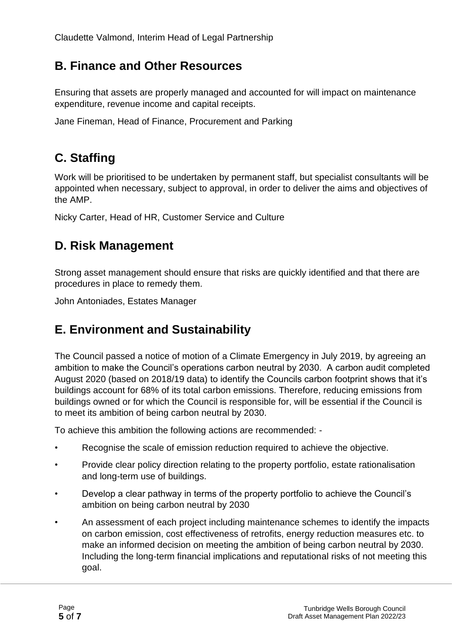#### **B. Finance and Other Resources**

Ensuring that assets are properly managed and accounted for will impact on maintenance expenditure, revenue income and capital receipts.

Jane Fineman, Head of Finance, Procurement and Parking

### **C. Staffing**

Work will be prioritised to be undertaken by permanent staff, but specialist consultants will be appointed when necessary, subject to approval, in order to deliver the aims and objectives of the AMP.

Nicky Carter, Head of HR, Customer Service and Culture

#### **D. Risk Management**

Strong asset management should ensure that risks are quickly identified and that there are procedures in place to remedy them.

John Antoniades, Estates Manager

#### **E. Environment and Sustainability**

The Council passed a notice of motion of a Climate Emergency in July 2019, by agreeing an ambition to make the Council's operations carbon neutral by 2030. A carbon audit completed August 2020 (based on 2018/19 data) to identify the Councils carbon footprint shows that it's buildings account for 68% of its total carbon emissions. Therefore, reducing emissions from buildings owned or for which the Council is responsible for, will be essential if the Council is to meet its ambition of being carbon neutral by 2030.

To achieve this ambition the following actions are recommended: -

- Recognise the scale of emission reduction required to achieve the objective.
- Provide clear policy direction relating to the property portfolio, estate rationalisation and long-term use of buildings.
- Develop a clear pathway in terms of the property portfolio to achieve the Council's ambition on being carbon neutral by 2030
- An assessment of each project including maintenance schemes to identify the impacts on carbon emission, cost effectiveness of retrofits, energy reduction measures etc. to make an informed decision on meeting the ambition of being carbon neutral by 2030. Including the long-term financial implications and reputational risks of not meeting this goal.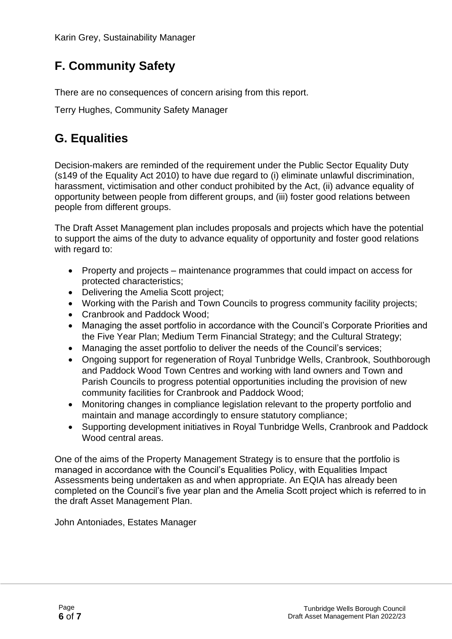### **F. Community Safety**

There are no consequences of concern arising from this report.

Terry Hughes, Community Safety Manager

### **G. Equalities**

Decision-makers are reminded of the requirement under the Public Sector Equality Duty (s149 of the Equality Act 2010) to have due regard to (i) eliminate unlawful discrimination, harassment, victimisation and other conduct prohibited by the Act, (ii) advance equality of opportunity between people from different groups, and (iii) foster good relations between people from different groups.

The Draft Asset Management plan includes proposals and projects which have the potential to support the aims of the duty to advance equality of opportunity and foster good relations with regard to:

- Property and projects maintenance programmes that could impact on access for protected characteristics;
- Delivering the Amelia Scott project;
- Working with the Parish and Town Councils to progress community facility projects;
- Cranbrook and Paddock Wood;
- Managing the asset portfolio in accordance with the Council's Corporate Priorities and the Five Year Plan; Medium Term Financial Strategy; and the Cultural Strategy;
- Managing the asset portfolio to deliver the needs of the Council's services;
- Ongoing support for regeneration of Royal Tunbridge Wells, Cranbrook, Southborough and Paddock Wood Town Centres and working with land owners and Town and Parish Councils to progress potential opportunities including the provision of new community facilities for Cranbrook and Paddock Wood;
- Monitoring changes in compliance legislation relevant to the property portfolio and maintain and manage accordingly to ensure statutory compliance;
- Supporting development initiatives in Royal Tunbridge Wells, Cranbrook and Paddock Wood central areas.

One of the aims of the Property Management Strategy is to ensure that the portfolio is managed in accordance with the Council's Equalities Policy, with Equalities Impact Assessments being undertaken as and when appropriate. An EQIA has already been completed on the Council's five year plan and the Amelia Scott project which is referred to in the draft Asset Management Plan.

John Antoniades, Estates Manager